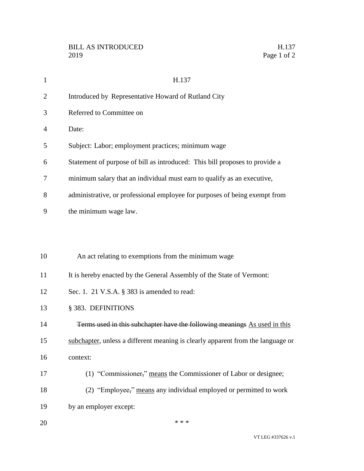| $\mathbf{1}$   | H.137                                                                           |
|----------------|---------------------------------------------------------------------------------|
| $\overline{2}$ | Introduced by Representative Howard of Rutland City                             |
| 3              | Referred to Committee on                                                        |
| 4              | Date:                                                                           |
| 5              | Subject: Labor; employment practices; minimum wage                              |
| 6              | Statement of purpose of bill as introduced: This bill proposes to provide a     |
| 7              | minimum salary that an individual must earn to qualify as an executive,         |
| 8              | administrative, or professional employee for purposes of being exempt from      |
| 9              | the minimum wage law.                                                           |
|                |                                                                                 |
|                |                                                                                 |
| 10             | An act relating to exemptions from the minimum wage                             |
| 11             | It is hereby enacted by the General Assembly of the State of Vermont:           |
| 12             | Sec. 1. 21 V.S.A. § 383 is amended to read:                                     |
| 13             | § 383. DEFINITIONS                                                              |
| 14             | Terms used in this subchapter have the following meanings As used in this       |
| 15             | subchapter, unless a different meaning is clearly apparent from the language or |
| 16             | context:                                                                        |
| 17             | (1) "Commissioner," means the Commissioner of Labor or designee;                |
| 18             | (2) "Employee," means any individual employed or permitted to work              |
| 19             | by an employer except:                                                          |
| 20             | * * *                                                                           |